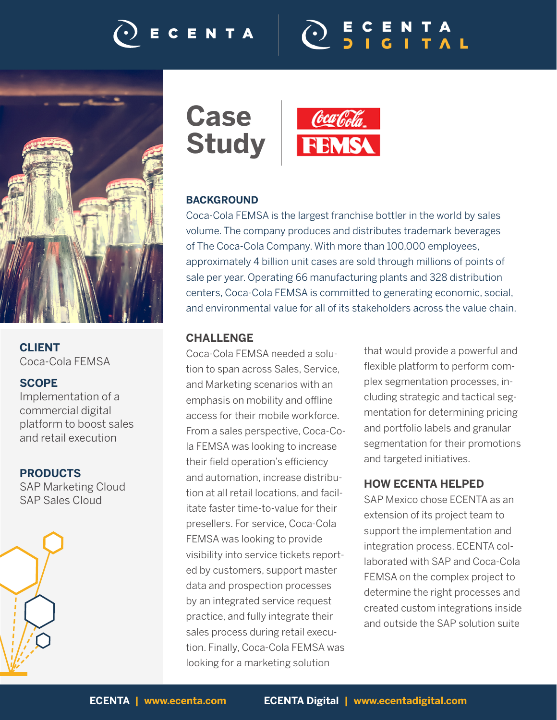# CENTA





**CLIENT** Coca-Cola FEMSA

### **SCOPE**

Implementation of a commercial digital platform to boost sales and retail execution

### **PRODUCTS**

SAP Marketing Cloud SAP Sales Cloud







### **BACKGROUND**

Coca-Cola FEMSA is the largest franchise bottler in the world by sales volume. The company produces and distributes trademark beverages of The Coca-Cola Company. With more than 100,000 employees, approximately 4 billion unit cases are sold through millions of points of sale per year. Operating 66 manufacturing plants and 328 distribution centers, Coca-Cola FEMSA is committed to generating economic, social, and environmental value for all of its stakeholders across the value chain.

# **CHALLENGE**

Coca-Cola FEMSA needed a solution to span across Sales, Service, and Marketing scenarios with an emphasis on mobility and offline access for their mobile workforce. From a sales perspective, Coca-Cola FEMSA was looking to increase their field operation's efficiency and automation, increase distribution at all retail locations, and facilitate faster time-to-value for their presellers. For service, Coca-Cola FEMSA was looking to provide visibility into service tickets reported by customers, support master data and prospection processes by an integrated service request practice, and fully integrate their sales process during retail execution. Finally, Coca-Cola FEMSA was looking for a marketing solution

that would provide a powerful and flexible platform to perform complex segmentation processes, including strategic and tactical segmentation for determining pricing and portfolio labels and granular segmentation for their promotions and targeted initiatives.

# **HOW ECENTA HELPED**

SAP Mexico chose ECENTA as an extension of its project team to support the implementation and integration process. ECENTA collaborated with SAP and Coca-Cola FEMSA on the complex project to determine the right processes and created custom integrations inside and outside the SAP solution suite